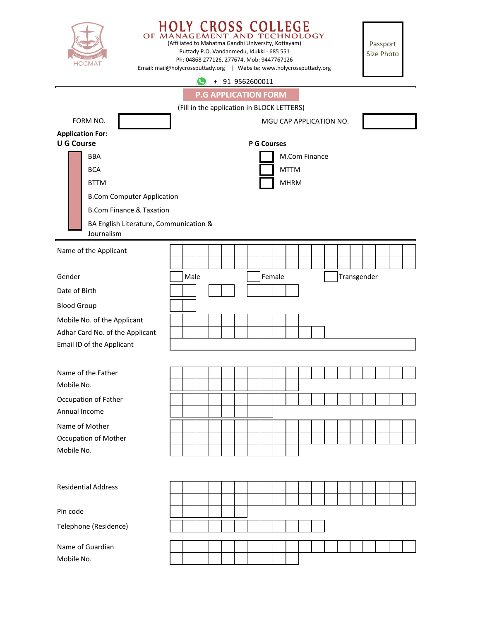| <b>HCCMAT</b>                              | <b>HOLY CROSS COLLEGE</b><br><b>OF MANA</b><br>GEM<br><b>TECHNOLOGY</b><br>AND<br>(Affiliated to Mahatma Gandhi University, Kottayam)<br>Puttady P.O, Vandanmedu, Idukki - 685 551<br>Ph: 04868 277126, 277674, Mob: 9447767126<br>Email: mail@holycrossputtady.org   Website: www.holycrossputtady.org |  |  |  |  |  |  |  |  |  |  |
|--------------------------------------------|---------------------------------------------------------------------------------------------------------------------------------------------------------------------------------------------------------------------------------------------------------------------------------------------------------|--|--|--|--|--|--|--|--|--|--|
|                                            | + 91 9562600011                                                                                                                                                                                                                                                                                         |  |  |  |  |  |  |  |  |  |  |
| <b>P.G APPLICATION FORM</b>                |                                                                                                                                                                                                                                                                                                         |  |  |  |  |  |  |  |  |  |  |
| (Fill in the application in BLOCK LETTERS) |                                                                                                                                                                                                                                                                                                         |  |  |  |  |  |  |  |  |  |  |
| FORM NO.                                   | MGU CAP APPLICATION NO.                                                                                                                                                                                                                                                                                 |  |  |  |  |  |  |  |  |  |  |
| <b>Application For:</b>                    |                                                                                                                                                                                                                                                                                                         |  |  |  |  |  |  |  |  |  |  |
| <b>U G Course</b>                          | <b>P G Courses</b>                                                                                                                                                                                                                                                                                      |  |  |  |  |  |  |  |  |  |  |
| <b>BBA</b>                                 | M.Com Finance                                                                                                                                                                                                                                                                                           |  |  |  |  |  |  |  |  |  |  |
| <b>BCA</b>                                 | <b>MTTM</b>                                                                                                                                                                                                                                                                                             |  |  |  |  |  |  |  |  |  |  |
| <b>BTTM</b>                                | <b>MHRM</b>                                                                                                                                                                                                                                                                                             |  |  |  |  |  |  |  |  |  |  |
| <b>B.Com Computer Application</b>          |                                                                                                                                                                                                                                                                                                         |  |  |  |  |  |  |  |  |  |  |
| <b>B.Com Finance &amp; Taxation</b>        |                                                                                                                                                                                                                                                                                                         |  |  |  |  |  |  |  |  |  |  |
| BA English Literature, Communication &     |                                                                                                                                                                                                                                                                                                         |  |  |  |  |  |  |  |  |  |  |
| Journalism                                 |                                                                                                                                                                                                                                                                                                         |  |  |  |  |  |  |  |  |  |  |
| Name of the Applicant                      |                                                                                                                                                                                                                                                                                                         |  |  |  |  |  |  |  |  |  |  |
|                                            |                                                                                                                                                                                                                                                                                                         |  |  |  |  |  |  |  |  |  |  |
| Gender                                     | Male<br>Female<br>Transgender                                                                                                                                                                                                                                                                           |  |  |  |  |  |  |  |  |  |  |
| Date of Birth                              |                                                                                                                                                                                                                                                                                                         |  |  |  |  |  |  |  |  |  |  |
| <b>Blood Group</b>                         |                                                                                                                                                                                                                                                                                                         |  |  |  |  |  |  |  |  |  |  |
| Mobile No. of the Applicant                |                                                                                                                                                                                                                                                                                                         |  |  |  |  |  |  |  |  |  |  |
| Adhar Card No. of the Applicant            |                                                                                                                                                                                                                                                                                                         |  |  |  |  |  |  |  |  |  |  |
| Email ID of the Applicant                  |                                                                                                                                                                                                                                                                                                         |  |  |  |  |  |  |  |  |  |  |
|                                            |                                                                                                                                                                                                                                                                                                         |  |  |  |  |  |  |  |  |  |  |
| Name of the Father                         |                                                                                                                                                                                                                                                                                                         |  |  |  |  |  |  |  |  |  |  |
| Mobile No.                                 |                                                                                                                                                                                                                                                                                                         |  |  |  |  |  |  |  |  |  |  |
| Occupation of Father                       |                                                                                                                                                                                                                                                                                                         |  |  |  |  |  |  |  |  |  |  |
| Annual Income                              |                                                                                                                                                                                                                                                                                                         |  |  |  |  |  |  |  |  |  |  |
| Name of Mother                             |                                                                                                                                                                                                                                                                                                         |  |  |  |  |  |  |  |  |  |  |
| Occupation of Mother                       |                                                                                                                                                                                                                                                                                                         |  |  |  |  |  |  |  |  |  |  |
| Mobile No.                                 |                                                                                                                                                                                                                                                                                                         |  |  |  |  |  |  |  |  |  |  |
|                                            |                                                                                                                                                                                                                                                                                                         |  |  |  |  |  |  |  |  |  |  |
|                                            |                                                                                                                                                                                                                                                                                                         |  |  |  |  |  |  |  |  |  |  |
| <b>Residential Address</b>                 |                                                                                                                                                                                                                                                                                                         |  |  |  |  |  |  |  |  |  |  |
|                                            |                                                                                                                                                                                                                                                                                                         |  |  |  |  |  |  |  |  |  |  |
| Pin code                                   |                                                                                                                                                                                                                                                                                                         |  |  |  |  |  |  |  |  |  |  |
| Telephone (Residence)                      |                                                                                                                                                                                                                                                                                                         |  |  |  |  |  |  |  |  |  |  |
|                                            |                                                                                                                                                                                                                                                                                                         |  |  |  |  |  |  |  |  |  |  |
| Name of Guardian                           |                                                                                                                                                                                                                                                                                                         |  |  |  |  |  |  |  |  |  |  |
| Mobile No.                                 |                                                                                                                                                                                                                                                                                                         |  |  |  |  |  |  |  |  |  |  |